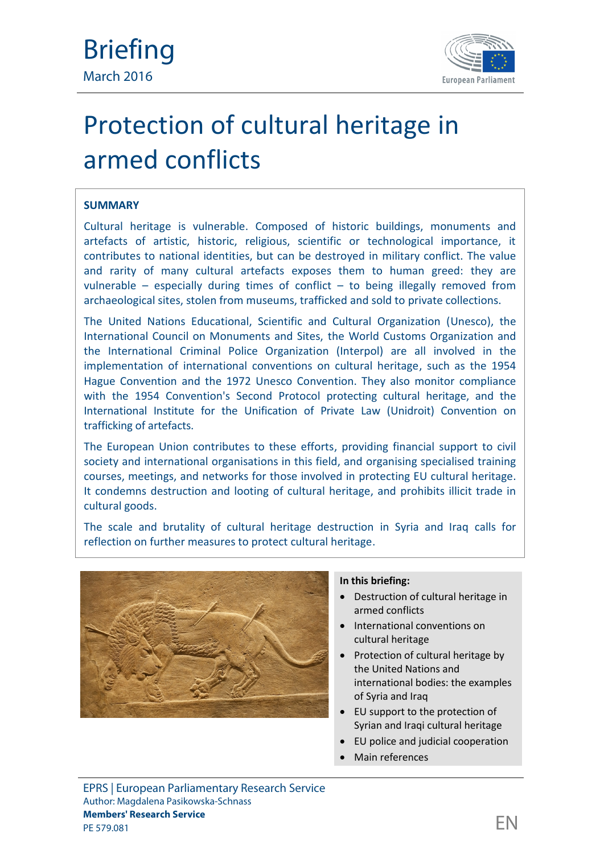

# Protection of cultural heritage in armed conflicts

# **SUMMARY**

Cultural heritage is vulnerable. Composed of historic buildings, monuments and artefacts of artistic, historic, religious, scientific or technological importance, it contributes to national identities, but can be destroyed in military conflict. The value and rarity of many cultural artefacts exposes them to human greed: they are vulnerable – especially during times of conflict – to being illegally removed from archaeological sites, stolen from museums, trafficked and sold to private collections.

The United Nations Educational, Scientific and Cultural Organization (Unesco), the International Council on Monuments and Sites, the World Customs Organization and the International Criminal Police Organization (Interpol) are all involved in the implementation of international conventions on cultural heritage, such as the 1954 Hague Convention and the 1972 Unesco Convention. They also monitor compliance with the 1954 Convention's Second Protocol protecting cultural heritage, and the International Institute for the Unification of Private Law (Unidroit) Convention on trafficking of artefacts.

The European Union contributes to these efforts, providing financial support to civil society and international organisations in this field, and organising specialised training courses, meetings, and networks for those involved in protecting EU cultural heritage. It condemns destruction and looting of cultural heritage, and prohibits illicit trade in cultural goods.

The scale and brutality of cultural heritage destruction in Syria and Iraq calls for reflection on further measures to protect cultural heritage.



#### **In this briefing:**

- Destruction of cultural heritage in armed conflicts
- International conventions on cultural heritage
- Protection of cultural heritage by the United Nations and international bodies: the examples of Syria and Iraq
- EU support to the protection of Syrian and Iraqi cultural heritage
- EU police and judicial cooperation
- Main references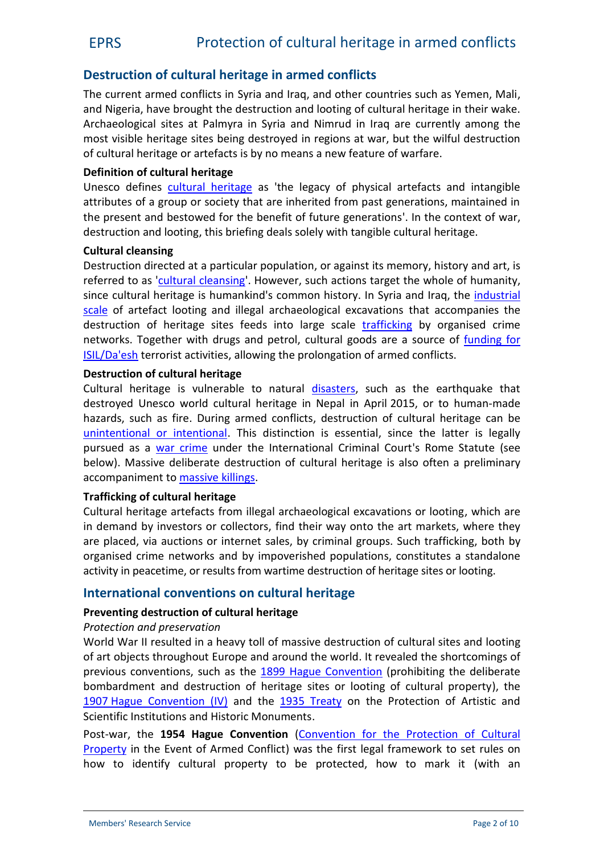# EPRS Protection of cultural heritage in armed conflicts

# **Destruction of cultural heritage in armed conflicts**

The current armed conflicts in Syria and Iraq, and other countries such as Yemen, Mali, and Nigeria, have brought the destruction and looting of cultural heritage in their wake. Archaeological sites at Palmyra in Syria and Nimrud in Iraq are currently among the most visible heritage sites being destroyed in regions at war, but the wilful destruction of cultural heritage or artefacts is by no means a new feature of warfare.

#### **Definition of cultural heritage**

Unesco defines [cultural heritage](http://www.unesco.org/new/en/cairo/culture/tangible-cultural-heritage/) as 'the legacy of physical artefacts and intangible attributes of a group or society that are inherited from past generations, maintained in the present and bestowed for the benefit of future generations'. In the context of war, destruction and looting, this briefing deals solely with tangible cultural heritage.

#### **Cultural cleansing**

Destruction directed at a particular population, or against its memory, history and art, is referred to as '[cultural cleansing'](http://www.un.org/apps/news/story.asp?NewsID=49982). However, such actions target the whole of humanity, since cultural heritage is humankind's common history. In Syria and Iraq, the [industrial](http://www.spearswms.com/blog/looted-antiquities-from-syria---what-collectors-need-to-know) [scale](http://www.spearswms.com/blog/looted-antiquities-from-syria---what-collectors-need-to-know) of artefact looting and illegal archaeological excavations that accompanies the destruction of heritage sites feeds into large scale [trafficking](http://www.unesco.org/new/fileadmin/MULTIMEDIA/HQ/CLT/pdf/MESSAGE_UNESCOCVV_FINAL.pdf) by organised crime networks. Together with drugs and petrol, cultural goods are a source of [funding for](http://www.economist.com/blogs/prospero/2015/11/antiquities-and-terror) [ISIL/Da'esh](http://www.economist.com/blogs/prospero/2015/11/antiquities-and-terror) terrorist activities, allowing the prolongation of armed conflicts.

#### **Destruction of cultural heritage**

Cultural heritage is vulnerable to natural [disasters,](http://whc.unesco.org/en/disaster-risk-reduction/) such as the earthquake that destroyed Unesco world cultural heritage in Nepal in April 2015, or to human-made hazards, such as fire. During armed conflicts, destruction of cultural heritage can be [unintentional or intentional](http://en.unesco.org/system/files/iraqsyriaeventbackgroundnoteeng.pdf). This distinction is essential, since the latter is legally pursued as a [war crime](https://www.icc-cpi.int/nr/rdonlyres/ea9aeff7-5752-4f84-be94-0a655eb30e16/0/rome_statute_english.pdf) under the International Criminal Court's Rome Statute (see below). Massive deliberate destruction of cultural heritage is also often a preliminary accompaniment to [massive killings.](http://amcainternational.org/review-of-cultural-cleansing-in-iraq/)

#### **Trafficking of cultural heritage**

Cultural heritage artefacts from illegal archaeological excavations or looting, which are in demand by investors or collectors, find their way onto the art markets, where they are placed, via auctions or internet sales, by criminal groups. Such trafficking, both by organised crime networks and by impoverished populations, constitutes a standalone activity in peacetime, or results from wartime destruction of heritage sites or looting.

#### **International conventions on cultural heritage**

#### **Preventing destruction of cultural heritage**

#### *Protection and preservation*

World War II resulted in a heavy toll of massive destruction of cultural sites and looting of art objects throughout Europe and around the world. It revealed the shortcomings of previous conventions, such as the [1899 Hague](https://www.icrc.org/ihl/INTRO/150?OpenDocument) Convention (prohibiting the deliberate bombardment and destruction of heritage sites or looting of cultural property), the 1907 [Hague Convention \(IV\)](https://www.icrc.org/applic/ihl/ihl.nsf/0/1d1726425f6955aec125641e0038bfd6) and the [1935 Treaty](http://www1.umn.edu/humanrts/instree/1935a.htm) on the Protection of Artistic and Scientific Institutions and Historic Monuments.

Post-war, the **1954 Hague Convention** ([Convention for the Protection of Cultural](http://portal.unesco.org/en/ev.php-URL_ID=13637&URL_DO=DO_TOPIC&URL_SECTION=201.html) [Property](http://portal.unesco.org/en/ev.php-URL_ID=13637&URL_DO=DO_TOPIC&URL_SECTION=201.html) in the Event of Armed Conflict) was the first legal framework to set rules on how to identify cultural property to be protected, how to mark it (with an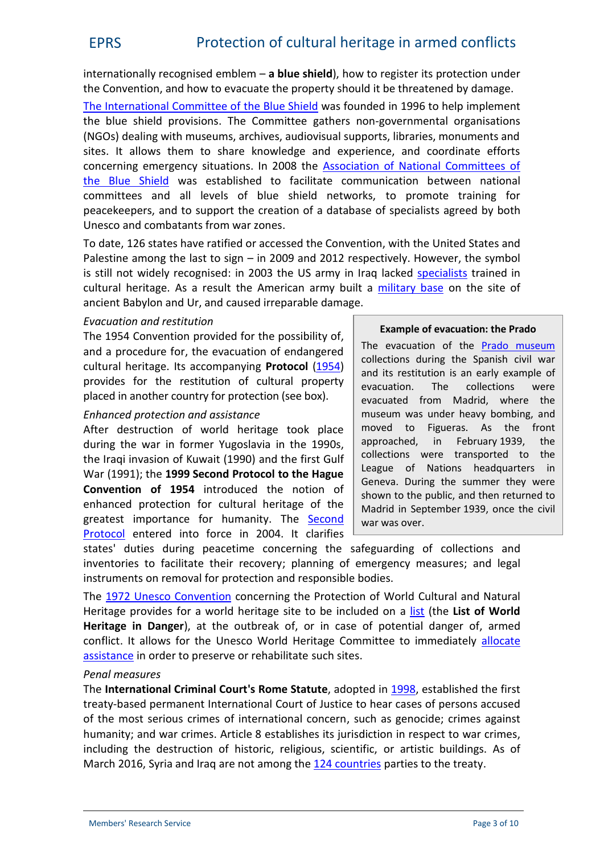internationally recognised emblem – **a blue shield**), how to register its protection under the Convention, and how to evacuate the property should it be threatened by damage.

[The International Committee of](http://icom.museum/programmes/museums-emergency-programme/international-committee-of-the-blue-shield/) the Blue Shield was founded in 1996 to help implement the blue shield provisions. The Committee gathers non-governmental organisations (NGOs) dealing with museums, archives, audiovisual supports, libraries, monuments and sites. It allows them to share knowledge and experience, and coordinate efforts concerning emergency situations. In 2008 the [Association of National Committees of](http://www.ancbs.org/cms/en/about-us/about-ancbs) [the Blue Shield](http://www.ancbs.org/cms/en/about-us/about-ancbs) was established to facilitate communication between national committees and all levels of blue shield networks, to promote training for peacekeepers, and to support the creation of a database of specialists agreed by both Unesco and combatants from war zones.

To date, 126 states have ratified or accessed the Convention, with the United States and Palestine among the last to sign – in 2009 and 2012 respectively. However, the symbol is still not widely recognised: in 2003 the US army in Iraq lacked [specialists](http://www.getty.edu/conservation/publications_resources/newsletters/23_1/feature.html) trained in cultural heritage. As a result the American army built a [military base](https://www.globalpolicy.org/humanitarian-issues-in-iraq/consequences-of-the-war-and-occupation-of-iraq/destruction-of-iraqs-cultural-heritage.html) on the site of ancient Babylon and Ur, and caused irreparable damage.

#### *Evacuation and restitution*

The 1954 Convention provided for the possibility of, and a procedure for, the evacuation of endangered cultural heritage. Its accompanying **Protocol** [\(1954](http://portal.unesco.org/en/ev.php-URL_ID=15391&URL_DO=DO_TOPIC&URL_SECTION=201.html)) provides for the restitution of cultural property placed in another country for protection (see box).

#### *Enhanced protection and assistance*

After destruction of world heritage took place during the war in former Yugoslavia in the 1990s, the Iraqi invasion of Kuwait (1990) and the first Gulf War (1991); the **1999 Second Protocol to the Hague Convention of 1954** introduced the notion of enhanced protection for cultural heritage of the greatest importance for humanity. The [Second](http://portal.unesco.org/en/ev.php-URL_ID=15207&URL_DO=DO_TOPIC&URL_SECTION=201.html) [Protocol](http://portal.unesco.org/en/ev.php-URL_ID=15207&URL_DO=DO_TOPIC&URL_SECTION=201.html) entered into force in 2004. It clarifies

#### **Example of evacuation: the Prado**

The evacuation of the [Prado museum](https://www.museodelprado.es/en/whats-on/exhibition/protected-art/81811f39-e3f9-4fe7-94af-225676279523?searchid=db0ee9ee-bfe3-6a42-a86d-1bc4a161f964) collections during the Spanish civil war and its restitution is an early example of evacuation. The collections were evacuated from Madrid, where the museum was under heavy bombing, and moved to Figueras. As the front approached, in February 1939, the collections were transported to the League of Nations headquarters in Geneva. During the summer they were shown to the public, and then returned to Madrid in September 1939, once the civil war was over.

states' duties during peacetime concerning the safeguarding of collections and inventories to facilitate their recovery; planning of emergency measures; and legal instruments on removal for protection and responsible bodies.

The 1972 Unesco [Convention](http://portal.unesco.org/en/ev.php-URL_ID=13055&URL_DO=DO_TOPIC&URL_SECTION=201.html) concerning the Protection of World Cultural and Natural Heritage provides for a world heritage site to be included on a [list](http://whc.unesco.org/en/danger/) (the **List of World Heritage in Danger**), at the outbreak of, or in case of potential danger of, armed conflict. It allows for the Unesco World Heritage Committee to immediately [allocate](http://whc.unesco.org/en/158/) [assistance](http://whc.unesco.org/en/158/) in order to preserve or rehabilitate such sites.

#### *Penal measures*

The **International Criminal Court's Rome Statute**, adopted in [1998](https://www.icc-cpi.int/nr/rdonlyres/ea9aeff7-5752-4f84-be94-0a655eb30e16/0/rome_statute_english.pdf), established the first treaty-based permanent International Court of Justice to hear cases of persons accused of the most serious crimes of international concern, such as genocide; crimes against humanity; and war crimes. Article 8 establishes its jurisdiction in respect to war crimes, including the destruction of historic, religious, scientific, or artistic buildings. As of March 2016, Syria and Iraq are not among the 124 [countries](https://www.icc-cpi.int/en_menus/asp/states parties/Pages/the states parties to the rome statute.aspx) parties to the treaty.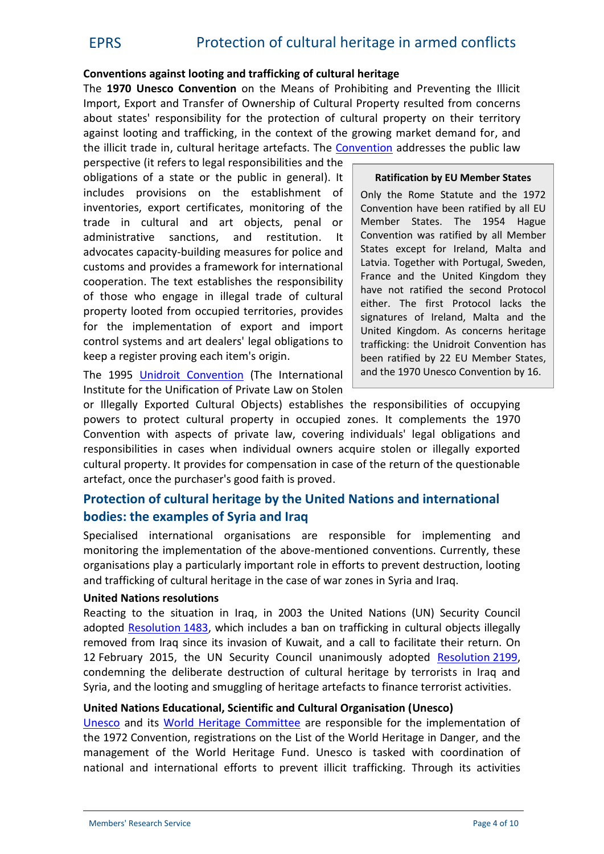#### **Conventions against looting and trafficking of cultural heritage**

The **1970 Unesco Convention** on the Means of Prohibiting and Preventing the Illicit Import, Export and Transfer of Ownership of Cultural Property resulted from concerns about states' responsibility for the protection of cultural property on their territory against looting and trafficking, in the context of the growing market demand for, and the illicit trade in, cultural heritage artefacts. The [Convention](http://portal.unesco.org/en/ev.php-URL_ID=13039&URL_DO=DO_TOPIC&URL_SECTION=201.html) addresses the public law

perspective (it refers to legal responsibilities and the obligations of a state or the public in general). It includes provisions on the establishment of inventories, export certificates, monitoring of the trade in cultural and art objects, penal or administrative sanctions, and restitution. It advocates capacity-building measures for police and customs and provides a framework for international cooperation. The text establishes the responsibility of those who engage in illegal trade of cultural property looted from occupied territories, provides for the implementation of export and import control systems and art dealers' legal obligations to keep a register proving each item's origin.

The 1995 Unidroit [Convention](http://www.unidroit.org/instruments/cultural-property/1995-convention) (The International Institute for the Unification of Private Law on Stolen

#### **Ratification by EU Member States**

Only the Rome Statute and the 1972 Convention have been ratified by all EU Member States. The 1954 Hague Convention was ratified by all Member States except for Ireland, Malta and Latvia. Together with Portugal, Sweden, France and the United Kingdom they have not ratified the second Protocol either. The first Protocol lacks the signatures of Ireland, Malta and the United Kingdom. As concerns heritage trafficking: the Unidroit Convention has been ratified by 22 EU Member States, and the 1970 Unesco Convention by 16.

or Illegally Exported Cultural Objects) establishes the responsibilities of occupying powers to protect cultural property in occupied zones. It complements the 1970 Convention with aspects of private law, covering individuals' legal obligations and responsibilities in cases when individual owners acquire stolen or illegally exported cultural property. It provides for compensation in case of the return of the questionable artefact, once the purchaser's good faith is proved.

# **Protection of cultural heritage by the United Nations and international bodies: the examples of Syria and Iraq**

Specialised international organisations are responsible for implementing and monitoring the implementation of the above-mentioned conventions. Currently, these organisations play a particularly important role in efforts to prevent destruction, looting and trafficking of cultural heritage in the case of war zones in Syria and Iraq.

#### **United Nations resolutions**

Reacting to the situation in Iraq, in 2003 the United Nations (UN) Security Council adopted [Resolution](https://documents-dds-ny.un.org/doc/UNDOC/GEN/N03/368/53/PDF/N0336853.pdf?OpenElement) 1483, which includes a ban on trafficking in cultural objects illegally removed from Iraq since its invasion of Kuwait, and a call to facilitate their return. On 12 February 2015, the UN Security Council unanimously adopted [Resolution](http://www.un.org/en/ga/search/view_doc.asp?symbol=S/RES/2199%20(2015)) 2199, condemning the deliberate destruction of cultural heritage by terrorists in Iraq and Syria, and the looting and smuggling of heritage artefacts to finance terrorist activities.

#### **United Nations Educational, Scientific and Cultural Organisation (Unesco)**

[Unesco](http://en.unesco.org/) and its [World Heritage Committee](http://whc.unesco.org/en/committee/) are responsible for the implementation of the 1972 Convention, registrations on the List of the World Heritage in Danger, and the management of the World Heritage Fund. Unesco is tasked with coordination of national and international efforts to prevent illicit trafficking. Through its activities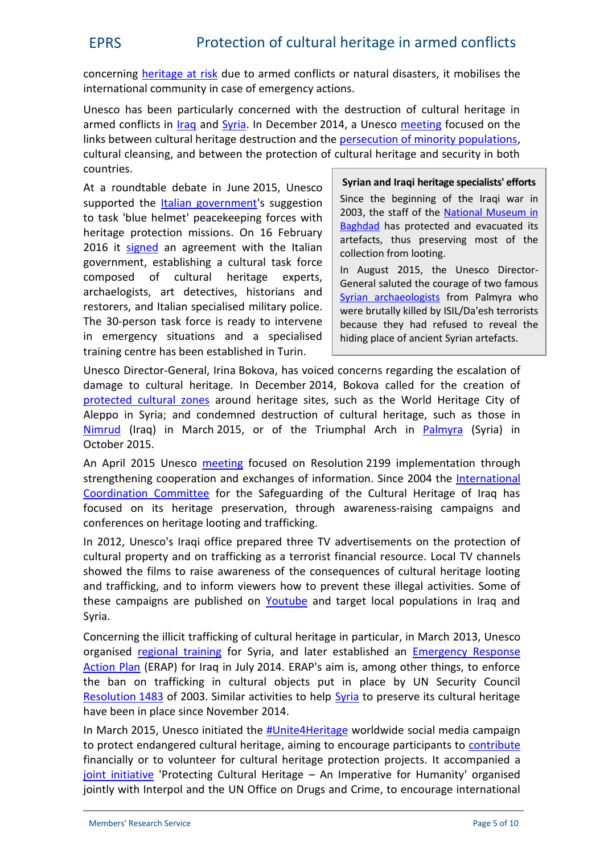concerning [heritage at](http://en.unesco.org/themes/heritage-risk) risk due to armed conflicts or natural disasters, it mobilises the international community in case of emergency actions.

Unesco has been particularly concerned with the destruction of cultural heritage in armed conflicts in *[Iraq](http://www.unesco.org/new/en/culture/themes/illicit-traffic-of-cultural-property/emergency-actions/iraq/) and Syria*. In December 2014, a Unesco [meeting](http://www.unesco.org/new/en/media-services/single-view/news/international_high_level_conference_on_the_endangered_heritage_and_cultural_diversity_of_iraq_and_syria/back/9597/) focused on the links between cultural heritage destruction and the [persecution of minority populations](http://www.europarl.europa.eu/RegData/etudes/BRIE/2015/572800/EPRS_BRI(2015)572800_EN.pdf), cultural cleansing, and between the protection of cultural heritage and security in both countries.

At a roundtable debate in June 2015, Unesco supported the [Italian government](http://www.unesco.org/new/en/culture/themes/illicit-trafficking-of-cultural-property/emergency-actions/3-june-event/)'s suggestion to task 'blue helmet' peacekeeping forces with heritage protection missions. On 16 February 2016 it [signed](http://www.un.org/apps/news/story.asp?NewsID=53232) an agreement with the Italian government, establishing a cultural task force composed of cultural heritage experts, archaelogists, art detectives, historians and restorers, and Italian specialised military police. The 30-person task force is ready to intervene in emergency situations and a specialised training centre has been established in Turin.

**Syrian and Iraqi heritage specialists' efforts** Since the beginning of the Iraqi war in 2003, the staff of the [National Museum in](http://www.getty.edu/conservation/publications_resources/newsletters/23_1/feature.html) [Baghdad](http://www.getty.edu/conservation/publications_resources/newsletters/23_1/feature.html) has protected and evacuated its artefacts, thus preserving most of the collection from looting.

In August 2015, the Unesco Director- General saluted the courage of two famous [Syrian archaeologists](http://www.un.org/apps/news/story.asp?NewsID=51674) from Palmyra who were brutally killed by ISIL/Da'esh terrorists because they had refused to reveal the hiding place of ancient Syrian artefacts.

Unesco Director-General, Irina Bokova, has voiced concerns regarding the escalation of damage to cultural heritage. In December 2014, Bokova called for the creation of [protected cultural zones](http://www.unesco.org/new/en/media-services/single-view/news/unesco_conference_calls_for_protected_cultural_zones_to_be_established_syria_and_iraq/) around heritage sites, such as the World Heritage City of Aleppo in Syria; and condemned destruction of cultural heritage, such as those in [Nimrud](http://www.unesco.org/new/en/media-services/single-view/news/unesco_director_general_condemns_destruction_of_nimrud_in_iraq/) (Iraq) in March 2015, or of the Triumphal Arch in [Palmyra](http://en.unesco.org/news/unesco-director-general-condemns-destruction-arch-triumph-palmyra-extremists-are-terrified) (Syria) in October 2015.

An April 2015 Unesco [meeting](http://en.unesco.org/news/unesco-brings-together-key-partners-step-safeguarding-iraqi-and-syrian-cultural-heritage) focused on Resolution 2199 implementation through strengthening cooperation and exchanges of information. Since 2004 the [International](http://www.unesco.org/new/en/culture/themes/illicit-trafficking-of-cultural-property/emergency-actions/iraq/international-coordination-committee-icc-for-the-safeguarding-of-the-cultural-heritage-of-iraq/) [Coordination Committee](http://www.unesco.org/new/en/culture/themes/illicit-trafficking-of-cultural-property/emergency-actions/iraq/international-coordination-committee-icc-for-the-safeguarding-of-the-cultural-heritage-of-iraq/) for the Safeguarding of the Cultural Heritage of Iraq has focused on its heritage preservation, through awareness-raising campaigns and conferences on heritage looting and trafficking.

In 2012, Unesco's Iraqi office prepared three TV advertisements on the protection of cultural property and on trafficking as a terrorist financial resource. Local TV channels showed the films to raise awareness of the consequences of cultural heritage looting and trafficking, and to inform viewers how to prevent these illegal activities. Some of these campaigns are published on [Youtube](https://www.youtube.com/watch?v=h23oV1ihhGk) and target local populations in Iraq and Syria.

Concerning the illicit trafficking of cultural heritage in particular, in March 2013, Unesco organised [regional training](http://www.unesco.org/new/fileadmin/MULTIMEDIA/FIELD/Amman/pdf/20130322_Report_Syria_workshop_FINAL.pdf) for Syria, and later established an [Emergency Response](http://whc.unesco.org/en/news/1187/) [Action Plan](http://whc.unesco.org/en/news/1187/) (ERAP) for Iraq in July 2014. ERAP's aim is, among other things, to enforce the ban on trafficking in cultural objects put in place by UN Security Council [Resolution](https://documents-dds-ny.un.org/doc/UNDOC/GEN/N03/368/53/PDF/N0336853.pdf?OpenElement) 1483 of 2003. Similar activities to help [Syria](http://en.unesco.org/syrian-observatory/sites/syrian-observatory/files/FactsFiguresSafeguardingSyrianCulturalHeritage.pdf) to preserve its cultural heritage have been in place since November 2014.

In March 2015, Unesco initiated the [#Unite4Heritage](http://whc.unesco.org/en/news/1254/) worldwide social media campaign to protect endangered cultural heritage, aiming to encourage participants to [contribute](http://www.unite4heritage.org/news/unite4heritage-7-ways-to-get-involved) financially or to volunteer for cultural heritage protection projects. It accompanied a [joint initiative](http://www.interpol.int/en/News-and-media/News/2015/N2015-145) 'Protecting Cultural Heritage - An Imperative for Humanity' organised jointly with Interpol and the UN Office on Drugs and Crime, to encourage international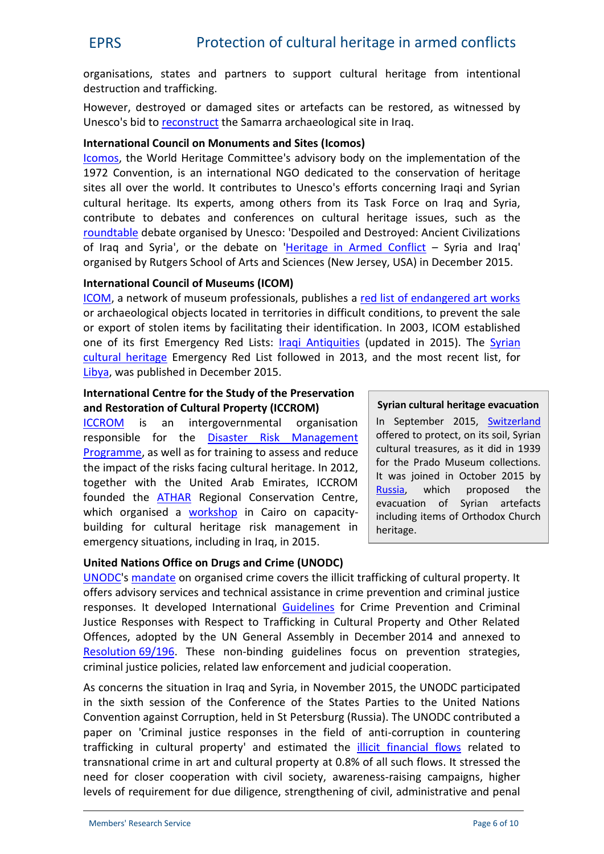organisations, states and partners to support cultural heritage from intentional destruction and trafficking.

However, destroyed or damaged sites or artefacts can be restored, as witnessed by Unesco's bid to [reconstruct](http://whc.unesco.org/en/news/1330) the Samarra archaeological site in Iraq.

#### **International Council on Monuments and Sites (Icomos)**

[Icomos](http://www.icomos.org/en/), the World Heritage Committee's advisory body on the implementation of the 1972 Convention, is an international NGO dedicated to the conservation of heritage sites all over the world. It contributes to Unesco's efforts concerning Iraqi and Syrian cultural heritage. Its experts, among others from its Task Force on Iraq and Syria, contribute to debates and conferences on cultural heritage issues, such as the [roundtable](http://www.icomos.org/en/get-involved/stay-informed/calendar/g-7-fuvbfop2q1lj80gs8n4ln4c5j4_20150601) debate organised by Unesco: 'Despoiled and Destroyed: Ancient Civilizations of Iraq and Syria', or the debate on '[Heritage in Armed Conflict](http://chaps.rutgers.edu/shifting-cities.html) – Syria and Iraq' organised by Rutgers School of Arts and Sciences (New Jersey, USA) in December 2015.

#### **International Council of Museums (ICOM)**

[ICOM](http://icom.museum/), a network of museum professionals, publishes a [red list of endangered art works](http://icom.museum/programmes/fighting-illicit-traffic/red-list/) or archaeological objects located in territories in difficult conditions, to prevent the sale or export of stolen items by facilitating their identification. In 2003, ICOM established one of its first Emergency Red Lists: [Iraqi Antiquities](http://icom.museum/press-releases/press-release/article/the-emergency-red-list-of-iraqi-cultural-objects-at-risk-a-tool-created-by-icom-to-fight-illicit-tr/) (updated in 2015). The [Syrian](http://icom.museum/uploads/tx_hpoindexbdd/ERL_SYRIE_EN.pdf) [cultural heritage](http://icom.museum/uploads/tx_hpoindexbdd/ERL_SYRIE_EN.pdf) Emergency Red List followed in 2013, and the most recent list, for [Libya](http://icom.museum/fileadmin/user_upload/images/Redlists/Libya/151028_ERLL_EN-pages2.pdf), was published in December 2015.

### **International Centre for the Study of the Preservation and Restoration of Cultural Property (ICCROM)**

[ICCROM](http://www.iccrom.org/) is an intergovernmental organisation responsible for the [Disaster Risk Management](http://www.iccrom.org/courses/first-aid/) [Programme,](http://www.iccrom.org/courses/first-aid/) as well as for training to assess and reduce the impact of the risks facing cultural heritage. In 2012, together with the United Arab Emirates, ICCROM Russia, which founded the [ATHAR](http://athar-centre.org/?page_id=345) Regional Conservation Centre, which organised a **[workshop](http://athar-centre.org/?p=4687)** in Cairo on capacitybuilding for cultural heritage risk management in emergency situations, including in Iraq, in 2015.

#### **Syrian cultural heritage evacuation**

In September 2015, [Switzerland](http://www.rts.ch/info/suisse/7112121-la-suisse-unique-pays-a-accorder-un-droit-d-asile-aux-biens-culturels.html) offered to protect, on its soil, Syrian cultural treasures, as it did in 1939 for the Prado Museum collections. It was joined in October 2015 by proposed the evacuation of Syrian artefacts including items of Orthodox Church heritage.

# **United Nations Office on Drugs and Crime (UNODC)**

[UNODC](http://www.unodc.org/unodc/en/about-unodc/index.html)'s [mandate](http://www.unodc.org/unodc/en/organized-crime/trafficking-in-cultural-property-mandate.html) on organised crime covers the illicit trafficking of cultural property. It offers advisory services and technical assistance in crime prevention and criminal justice responses. It developed International [Guidelines](http://www.unodc.org/documents/organized-crime/trafficking_in_cultural/RES-681-86/A_RES_69_196_E.pdf) for Crime Prevention and Criminal Justice Responses with Respect to Trafficking in Cultural Property and Other Related Offences, adopted by the UN General Assembly in December 2014 and annexed to [Resolution](http://www.un.org/en/ga/search/view_doc.asp?symbol=A/RES/69/196) 69/196. These non-binding guidelines focus on prevention strategies, criminal justice policies, related law enforcement and judicial cooperation.

As concerns the situation in Iraq and Syria, in November 2015, the UNODC participated in the sixth session of the Conference of the States Parties to the United Nations Convention against Corruption, held in St Petersburg (Russia). The UNODC contributed a paper on 'Criminal justice responses in the field of anti-corruption in countering trafficking in cultural property' and estimated the [illicit financial flows](https://www.unodc.org/documents/treaties/UNCAC/COSP/session6/SpecialEvents/2015_11_05_CelsoCoraciniUNODC.pdf) related to transnational crime in art and cultural property at 0.8% of all such flows. It stressed the need for closer cooperation with civil society, awareness-raising campaigns, higher levels of requirement for due diligence, strengthening of civil, administrative and penal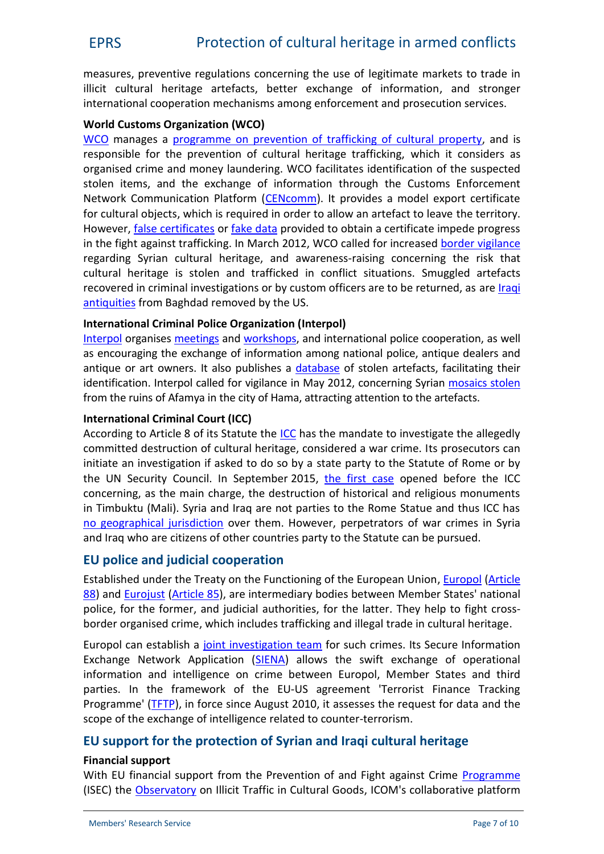measures, preventive regulations concerning the use of legitimate markets to trade in illicit cultural heritage artefacts, better exchange of information, and stronger international cooperation mechanisms among enforcement and prosecution services.

#### **World Customs Organization (WCO)**

[WCO](http://www.wcoomd.org/) manages a programme on prevention of [trafficking of cultural property,](http://www.wcoomd.org/en/topics/enforcement-and-compliance/activities-and-programmes/other-activities/protection-of-cultural-heritage.aspx) and is responsible for the prevention of cultural heritage trafficking, which it considers as organised crime and money laundering. WCO facilitates identification of the suspected stolen items, and the exchange of information through the Customs Enforcement Network Communication Platform ([CENcomm\)](http://www.wcoomd.org/en/topics/enforcement-and-compliance/activities-and-programmes/protection-of-cultural-heritage.aspx). It provides a model export certificate for cultural objects, which is required in order to allow an artefact to leave the territory. However, [false certificates](http://www.unesco.org/new/en/culture/themes/illicit-trafficking-of-cultural-property/scam-alert/) or [fake data](http://ec.europa.eu/home-affairs/doc_centre/crime/docs/Report Trafficking in cultural goods EN.pdf) provided to obtain a certificate impede progress in the fight against trafficking. In March 2012, WCO called for increased [border vigilance](http://www.wcoomd.org/en/media/newsroom/2012/march/wco-calls-for-increased-border-vigilance-to-protect-syrias-cultural-heritage.aspx) regarding Syrian cultural heritage, and awareness-raising concerning the risk that cultural heritage is stolen and trafficked in conflict situations. Smuggled artefacts recovered in criminal investigations or by custom officers are to be returned, as are *[Iraqi](https://www.ice.gov/news/releases/ancient-antiquities-and-saddam-hussein-era-objects-returned-iraq)* [antiquities](https://www.ice.gov/news/releases/ancient-antiquities-and-saddam-hussein-era-objects-returned-iraq) from Baghdad removed by the US.

#### **International Criminal Police Organization (Interpol)**

[Interpol](http://www.interpol.int/en) organises [meetings](http://www.interpol.int/News-and-media/News/2011/N20110414b) and [workshops](http://www.interpol.int/News-and-media/News/2012/N20121008), and international police cooperation, as well as encouraging the exchange of information among national police, antique dealers and antique or art owners. It also publishes a [database](http://www.interpol.int/Crime-areas/Works-of-art/Works-of-art) of stolen artefacts, facilitating their identification. Interpol called for vigilance in May 2012, concerning Syrian [mosaics stolen](http://www.interpol.int/en/News-and-media/News/2012/N20120521) from the ruins of Afamya in the city of Hama, attracting attention to the artefacts.

#### **International Criminal Court (ICC)**

According to Article 8 of its Statute the [ICC](https://www.icc-cpi.int/en_menus/icc/about the court/Pages/about the court.aspx) has the mandate to investigate the allegedly committed destruction of cultural heritage, considered a war crime. Its prosecutors can initiate an investigation if asked to do so by a state party to the Statute of Rome or by the UN Security Council. In September 2015, [the first case](https://www.icc-cpi.int/en_menus/icc/press and media/press releases/Pages/pr1154.aspx) opened before the ICC concerning, as the main charge, the destruction of historical and religious monuments in Timbuktu (Mali). Syria and Iraq are not parties to the Rome Statue and thus ICC has [no geographical jurisdiction](https://polcms.secure.europarl.europa.eu/cmsdata/upload/932b87df-0b96-4c82-b709-8a41fb0f69bf/DUTERTRE_Gilles_FR_Presentation text_CULT_PH_Destruction_13-07-2015.pdf) over them. However, perpetrators of war crimes in Syria and Iraq who are citizens of other countries party to the Statute can be pursued.

# **EU police and judicial cooperation**

Established under the Treaty on the Functioning of the European Union, [Europol](https://www.europol.europa.eu/content/page/mandate-119) [\(Article](http://eur-lex.europa.eu/legal-content/EN/TXT/?qid=1456414821487&uri=CELEX:12012E088) [88](http://eur-lex.europa.eu/legal-content/EN/TXT/?qid=1456414821487&uri=CELEX:12012E088)) and [Eurojust](http://www.eurojust.europa.eu/Pages/home.aspx) [\(Article](http://eur-lex.europa.eu/legal-content/EN/TXT/?qid=1456414749947&uri=CELEX:12012E085) 85), are intermediary bodies between Member States' national police, for the former, and judicial authorities, for the latter. They help to fight cross border organised crime, which includes trafficking and illegal trade in cultural heritage.

Europol can establish a [joint investigation team](http://ec.europa.eu/home-affairs/doc_centre/crime/docs/Report Trafficking in cultural goods EN.pdf) for such crimes. Its Secure Information Exchange Network Application ([SIENA\)](https://www.europol.europa.eu/content/page/siena-1849) allows the swift exchange of operational information and intelligence on crime between Europol, Member States and third parties. In the framework of the EU-US agreement 'Terrorist Finance Tracking Programme' ([TFTP\)](http://ec.europa.eu/dgs/home-affairs/what-we-do/policies/crisis-and-terrorism/tftp/index_en.htm), in force since August 2010, it assesses the request for data and the scope of the exchange of intelligence related to counter-terrorism.

# **EU support for the protection of Syrian and Iraqi cultural heritage**

#### **Financial support**

With EU financial support from the Prevention of and Fight against Crime [Programme](http://ec.europa.eu/dgs/home-affairs/financing/fundings/security-and-safeguarding-liberties/prevention-of-and-fight-against-crime/index_en.htm) (ISEC) the [Observatory](http://obs-traffic.museum/) on Illicit Traffic in Cultural Goods, ICOM's collaborative platform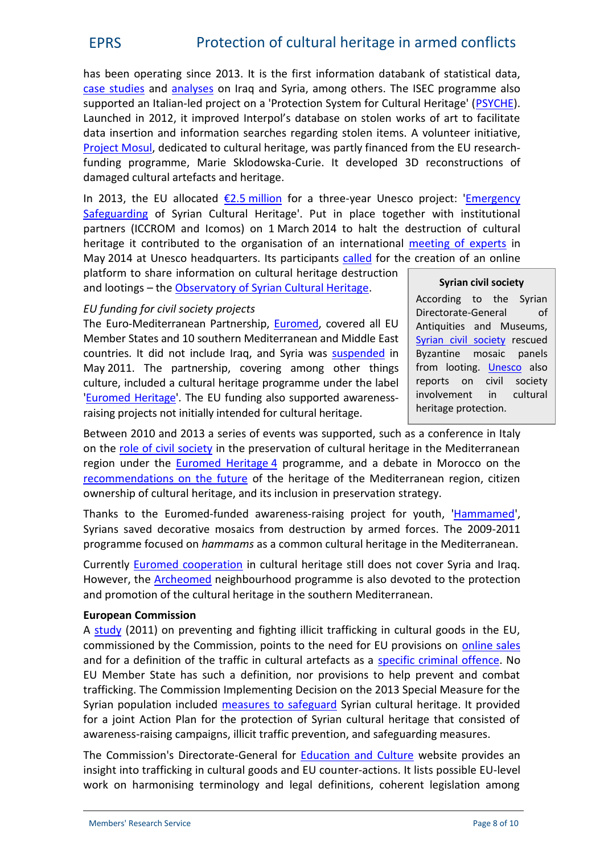has been operating since 2013. It is the first information databank of statistical data, [case studies](http://obs-traffic.museum/illicid-verfahren-zur-erhellung-des-dunkelfeldes-als-grundlage-f%C3%BCr-kriminalit%C3%A4tsbek%C3%A4mpfung-und?search_api_views_fulltext=Syria) and [analyses](http://icom.museum/programmes/fighting-illicit-traffic/icoms-international-observatory-on-illicit-traffic-in-cultural-goods/) on Iraq and Syria, among others. The ISEC programme also supported an Italian-led project on a 'Protection System for Cultural Heritage' [\(PSYCHE](http://www.formez.eu/node/1492)). Launched in 2012, it improved Interpol's database on stolen works of art to facilitate data insertion and information searches regarding stolen items. A volunteer initiative, [Project Mosul](http://projectmosul.org/press), dedicated to cultural heritage, was partly financed from the EU researchfunding programme, Marie Sklodowska-Curie. It developed 3D reconstructions of damaged cultural artefacts and heritage.

In 2013, the EU allocated  $E2.5$  [million](http://europa.eu/rapid/press-release_IP-13-999_en.htm) for a three-year Unesco project: '[Emergency](http://en.unesco.org/syrian-observatory/emergency-safeguarding-syrian-cultural-heritage-project) [Safeguarding](http://en.unesco.org/syrian-observatory/emergency-safeguarding-syrian-cultural-heritage-project) of Syrian Cultural Heritage'. Put in place together with institutional partners (ICCROM and Icomos) on 1 March 2014 to halt the destruction of cultural heritage it contributed to the organisation of an international [meeting of experts](http://www.unesco.org/new/en/safeguarding-syrian-cultural-heritage/international-initiatives/syria-expert-meeting/) in May 2014 at Unesco headquarters. Its participants [called](http://www.unesco.org/new/en/media-services/single-view/news/unesco_to_create_an_observatory_for_the_safeguarding_of_syrias_cultural_heritage/) for the creation of an online

platform to share information on cultural heritage destruction and lootings - the [Observatory of Syrian Cultural Heritage.](http://en.unesco.org/syrian-observatory)

#### **Syrian civil society**

According to the Syrian Directorate-General of Antiquities and Museums, [Syrian civil society](http://dgam.gov.sy/index.php?d=314&id=1826) rescued Byzantine mosaic panels from looting. [Unesco](http://www.unesco.org/new/en/safeguarding-syrian-cultural-heritage/national-initiatives/syrians-protect-their-heritage/) also reports on civil society involvement in cultural heritage protection.

# *EU funding for civil society projects*

The Euro-Mediterranean Partnership, [Euromed](http://www.enpi-info.eu/indexmed.php), covered all EU Member States and 10 southern Mediterranean and Middle East countries. It did not include Iraq, and Syria was [suspended](http://www.consilium.europa.eu/uedocs/cms_data/docs/pressdata/EN/foraff/122168.pdf) in May 2011. The partnership, covering among other things culture, included a cultural heritage programme under the label '[Euromed Heritage](http://www.euromedheritage.net/index.cfm?menuID=13?)'. The EU funding also supported awareness raising projects not initially intended for cultural heritage.

Between 2010 and 2013 a series of events was supported, such as a conference in Italy on the [role of civil society](http://www.euromedheritage.net/intern.cfm?menuID=16&submenuID=22&subsubmenuID=21) in the preservation of cultural heritage in the Mediterranean region under the [Euromed](http://www.enpi-info.eu/mainmed.php?id=243&id_type=10) Heritage 4 programme, and a debate in Morocco on the [recommendations on the future](http://www.euromedheritage.net/intern.cfm?menuID=16&submenuID=22&subsubmenuID=34) of the heritage of the Mediterranean region, citizen ownership of cultural heritage, and its inclusion in preservation strategy.

Thanks to the Euromed-funded awareness-raising project for youth, ['Hammamed](http://www.euromedheritage.net/intern.cfm?menuID=12&submenuID=13&idproject=48)', Syrians saved decorative mosaics from destruction by armed forces. The 2009-2011 programme focused on *hammams* as a common cultural heritage in the Mediterranean.

Currently [Euromed cooperation](http://www.enpi-info.eu/search_result_med.php?q=cultural+heritage&Search=Search&lang_id=450&as_sitesearch=enpi-info.eu&engine=enpi) in cultural heritage still does not cover Syria and Iraq. However, the [Archeomed](http://archeomedsites.com/project/presentation/) neighbourhood programme is also devoted to the protection and promotion of the cultural heritage in the southern Mediterranean.

# **European Commission**

A [study](http://ec.europa.eu/home-affairs/doc_centre/crime/docs/Report Trafficking in cultural goods EN.pdf) (2011) on preventing and fighting illicit trafficking in cultural goods in the EU, commissioned by the Commission, points to the need for EU provisions on [online sales](http://ec.europa.eu/home-affairs/doc_centre/crime/docs/Report Trafficking in cultural goods EN.pdf) and for a definition of the traffic in cultural artefacts as a [specific criminal offence.](http://ec.europa.eu/home-affairs/doc_centre/crime/docs/Report Trafficking in cultural goods EN.pdf) No EU Member State has such a definition, nor provisions to help prevent and combat trafficking. The Commission Implementing Decision on the 2013 Special Measure for the Syrian population included [measures to safeguard](http://ec.europa.eu/europeaid/documents/aap/2013/af_aap-spe_2013_jor_p2.pdf) Syrian cultural heritage. It provided for a joint Action Plan for the protection of Syrian cultural heritage that consisted of awareness-raising campaigns, illicit traffic prevention, and safeguarding measures.

The Commission's Directorate-General for [Education and Culture](http://ec.europa.eu/culture/policy/culture-policies/trafficking_en.htm) website provides an insight into trafficking in cultural goods and EU counter-actions. It lists possible EU-level work on harmonising terminology and legal definitions, coherent legislation among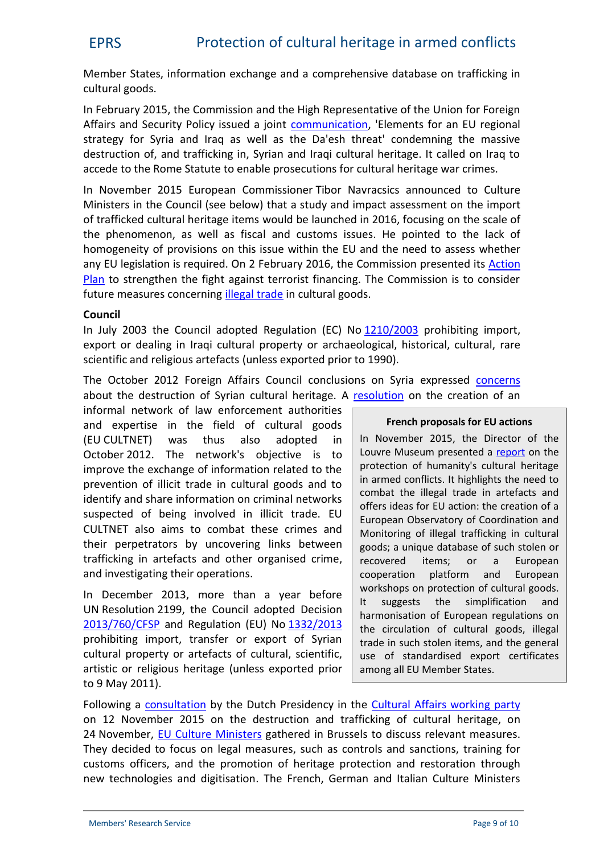Member States, information exchange and a comprehensive database on trafficking in cultural goods.

In February 2015, the Commission and the High Representative of the Union for Foreign Affairs and Security Policy issued a joint [communication](http://eur-lex.europa.eu/legal-content/EN/TXT/?uri=CELEX:52015JC0002), 'Elements for an EU regional strategy for Syria and Iraq as well as the Da'esh threat' condemning the massive destruction of, and trafficking in, Syrian and Iraqi cultural heritage. It called on Iraq to accede to the Rome Statute to enable prosecutions for cultural heritage war crimes.

In November 2015 European Commissioner Tibor Navracsics announced to Culture Ministers in the Council (see below) that a study and impact assessment on the import of trafficked cultural heritage items would be launched in 2016, focusing on the scale of the phenomenon, as well as fiscal and customs issues. He pointed to the lack of homogeneity of provisions on this issue within the EU and the need to assess whether any EU legislation is required. On 2 February 2016, the Commission presented its [Action](http://ec.europa.eu/dgs/home-affairs/e-library/documents/basic-documents/docs/eu_agenda_on_security_en.pdf) [Plan](http://ec.europa.eu/dgs/home-affairs/e-library/documents/basic-documents/docs/eu_agenda_on_security_en.pdf) to strengthen the fight against terrorist financing. The Commission is to consider future measures concerning *[illegal trade](http://ec.europa.eu/justice/criminal/files/aml-factsheet_en.pdf)* in cultural goods.

# **Council**

In July 2003 the Council adopted Regulation (EC) No [1210/2003](http://eur-lex.europa.eu/LexUriServ/LexUriServ.do?uri=OJ:L:2003:169:0006:0023:En:PDF) prohibiting import, export or dealing in Iraqi cultural property or archaeological, historical, cultural, rare scientific and religious artefacts (unless exported prior to 1990).

The October 2012 Foreign Affairs Council conclusions on Syria expressed [concerns](http://www.consilium.europa.eu/uedocs/cms_data/docs/pressdata/EN/foraff/132825.pdf) about the destruction of Syrian cultural heritage. A [resolution](http://register.consilium.europa.eu/doc/srv?l=EN&f=ST%2014232%202012%20INIT) on the creation of an

informal network of law enforcement authorities and expertise in the field of cultural goods (EU CULTNET) was thus also adopted in October 2012. The network's objective is to improve the exchange of information related to the prevention of illicit trade in cultural goods and to identify and share information on criminal networks suspected of being involved in illicit trade. EU CULTNET also aims to combat these crimes and their perpetrators by uncovering links between trafficking in artefacts and other organised crime, and investigating their operations.

In December 2013, more than a year before  $\begin{vmatrix} 0 & 0 \\ 0 & 1 \end{vmatrix}$ UN Resolution 2199, the Council adopted Decision [2013/760/CFSP](http://eur-lex.europa.eu/LexUriServ/LexUriServ.do?uri=OJ%3AL%3A2013%3A335%3A0050%3A0051%3AEN%3APDF) and Regulation (EU) No [1332/2013](http://eur-lex.europa.eu/LexUriServ/LexUriServ.do?uri=OJ%3AL%3A2013%3A335%3A0003%3A0007%3AEN%3APDF) prohibiting import, transfer or export of Syrian cultural property or artefacts of cultural, scientific, artistic or religious heritage (unless exported prior to 9 May 2011).

#### **French proposals for EU actions**

In November 2015, the Director of the Louvre Museum presented a [report](http://www.culturecommunication.gouv.fr/Ressources/Rapports/Cinquante-propositions-francaises-pour-proteger-le-patrimoine-de-l-humanite) on the protection of humanity's cultural heritage in armed conflicts. It highlights the need to combat the illegal trade in artefacts and offers ideas for EU action: the creation of a European Observatory of Coordination and Monitoring of illegal trafficking in cultural goods; a unique database of such stolen or recovered items; or a European cooperation platform and European workshops on protection of cultural goods. suggests the simplification and harmonisation of European regulations on the circulation of cultural goods, illegal trade in such stolen items, and the general use of standardised export certificates among all EU Member States.

Following a [consultation](http://data.consilium.europa.eu/doc/document/ST-13647-2015-REV-1/en/pdf) by the Dutch Presidency in the [Cultural Affairs working party](http://www.consilium.europa.eu/en/council-eu/preparatory-bodies/cultural-affairs-committee/) on 12 November 2015 on the destruction and trafficking of cultural heritage, on 24 November, EU Culture [Ministers](http://www.consilium.europa.eu/en/meetings/eycs/2015/11/23-24/) gathered in Brussels to discuss relevant measures. They decided to focus on legal measures, such as controls and sanctions, training for customs officers, and the promotion of heritage protection and restoration through new technologies and digitisation. The French, German and Italian Culture Ministers